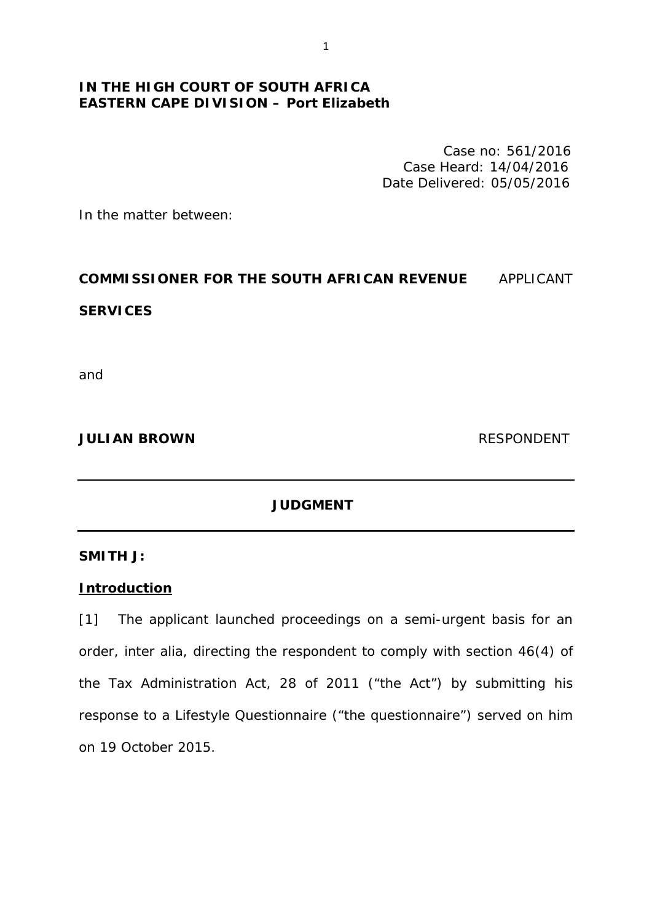# **IN THE HIGH COURT OF SOUTH AFRICA EASTERN CAPE DIVISION – Port Elizabeth**

Case no: 561/2016 Case Heard: 14/04/2016 Date Delivered: 05/05/2016

In the matter between:

# **COMMISSIONER FOR THE SOUTH AFRICAN REVENUE** APPLICANT

## **SERVICES**

and

### **JULIAN BROWN RESPONDENT**

## **JUDGMENT**

### **SMITH J:**

## **Introduction**

[1] The applicant launched proceedings on a semi-urgent basis for an order, *inter alia,* directing the respondent to comply with section 46(4) of the Tax Administration Act, 28 of 2011 ("the Act") by submitting his response to a Lifestyle Questionnaire ("the questionnaire") served on him on 19 October 2015.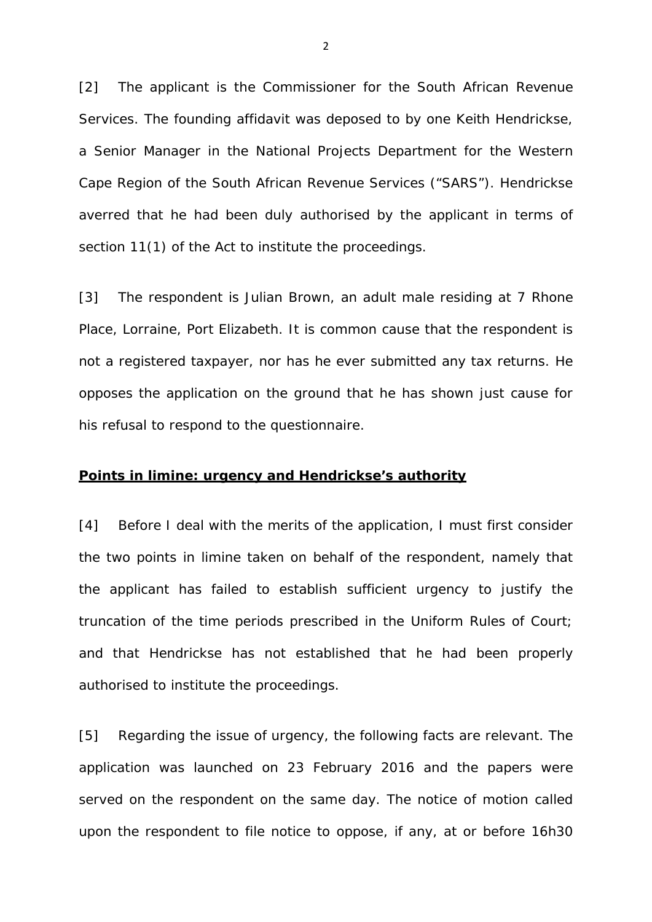[2] The applicant is the Commissioner for the South African Revenue Services. The founding affidavit was deposed to by one Keith Hendrickse, a Senior Manager in the National Projects Department for the Western Cape Region of the South African Revenue Services ("SARS"). Hendrickse averred that he had been duly authorised by the applicant in terms of section 11(1) of the Act to institute the proceedings.

[3] The respondent is Julian Brown, an adult male residing at 7 Rhone Place, Lorraine, Port Elizabeth. It is common cause that the respondent is not a registered taxpayer, nor has he ever submitted any tax returns. He opposes the application on the ground that he has shown just cause for his refusal to respond to the questionnaire.

### **Points** *in limine***: urgency and Hendrickse's authority**

[4] Before I deal with the merits of the application, I must first consider the two points *in limine* taken on behalf of the respondent, namely that the applicant has failed to establish sufficient urgency to justify the truncation of the time periods prescribed in the Uniform Rules of Court; and that Hendrickse has not established that he had been properly authorised to institute the proceedings.

[5] Regarding the issue of urgency, the following facts are relevant. The application was launched on 23 February 2016 and the papers were served on the respondent on the same day. The notice of motion called upon the respondent to file notice to oppose, if any, at or before 16h30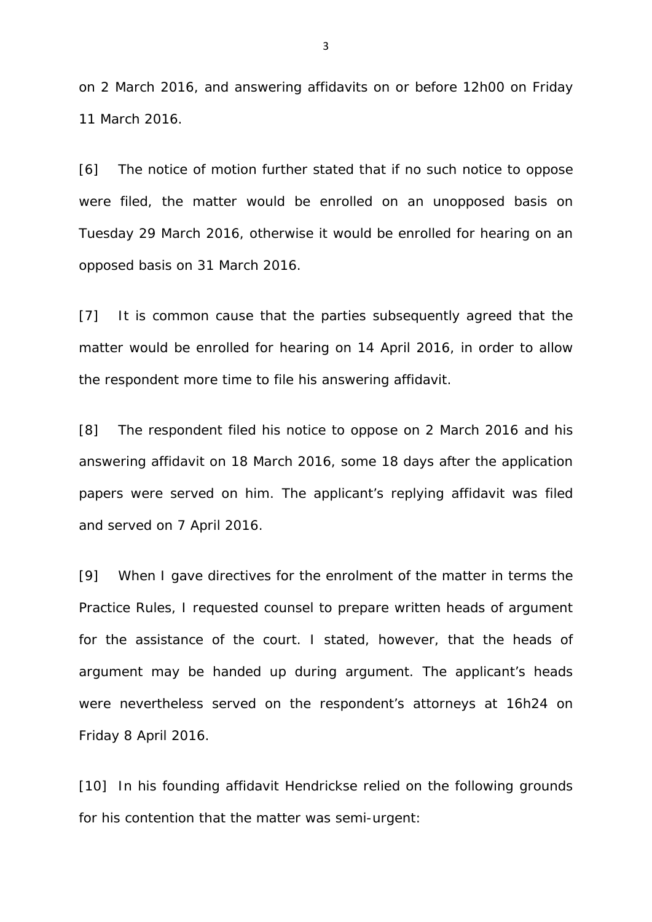on 2 March 2016, and answering affidavits on or before 12h00 on Friday 11 March 2016.

[6] The notice of motion further stated that if no such notice to oppose were filed, the matter would be enrolled on an unopposed basis on Tuesday 29 March 2016, otherwise it would be enrolled for hearing on an opposed basis on 31 March 2016.

[7] It is common cause that the parties subsequently agreed that the matter would be enrolled for hearing on 14 April 2016, in order to allow the respondent more time to file his answering affidavit.

[8] The respondent filed his notice to oppose on 2 March 2016 and his answering affidavit on 18 March 2016, some 18 days after the application papers were served on him. The applicant's replying affidavit was filed and served on 7 April 2016.

[9] When I gave directives for the enrolment of the matter in terms the Practice Rules, I requested counsel to prepare written heads of argument for the assistance of the court. I stated, however, that the heads of argument may be handed up during argument. The applicant's heads were nevertheless served on the respondent's attorneys at 16h24 on Friday 8 April 2016.

[10] In his founding affidavit Hendrickse relied on the following grounds for his contention that the matter was semi-urgent: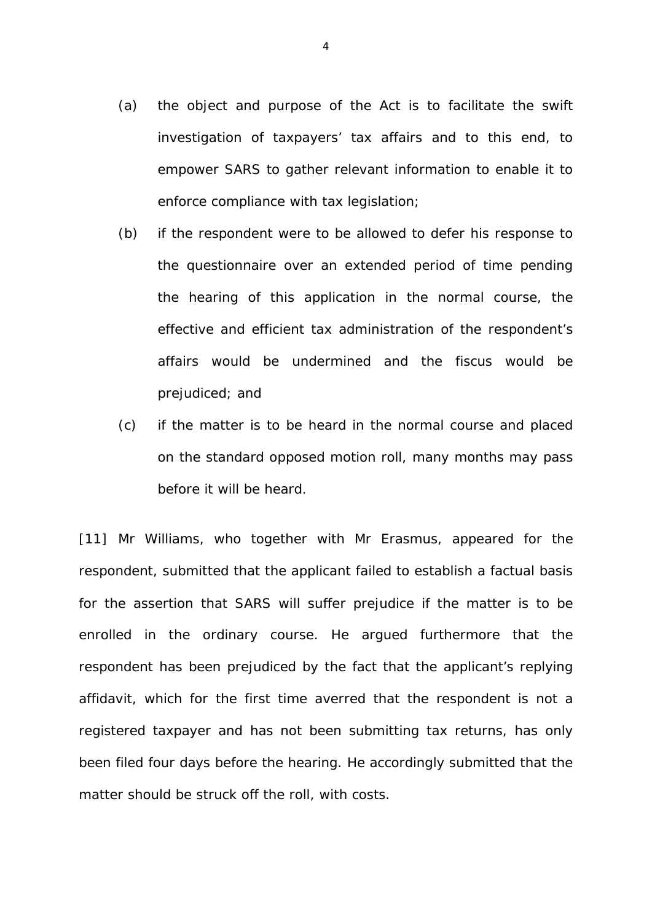- (a) the object and purpose of the Act is to facilitate the swift investigation of taxpayers' tax affairs and to this end, to empower SARS to gather relevant information to enable it to enforce compliance with tax legislation;
- (b) if the respondent were to be allowed to defer his response to the questionnaire over an extended period of time pending the hearing of this application in the normal course, the effective and efficient tax administration of the respondent's affairs would be undermined and the fiscus would be prejudiced; and
- (c) if the matter is to be heard in the normal course and placed on the standard opposed motion roll, many months may pass before it will be heard.

[11] Mr *Williams*, who together with Mr *Erasmus*, appeared for the respondent, submitted that the applicant failed to establish a factual basis for the assertion that SARS will suffer prejudice if the matter is to be enrolled in the ordinary course. He argued furthermore that the respondent has been prejudiced by the fact that the applicant's replying affidavit, which for the first time averred that the respondent is not a registered taxpayer and has not been submitting tax returns, has only been filed four days before the hearing. He accordingly submitted that the matter should be struck off the roll, with costs.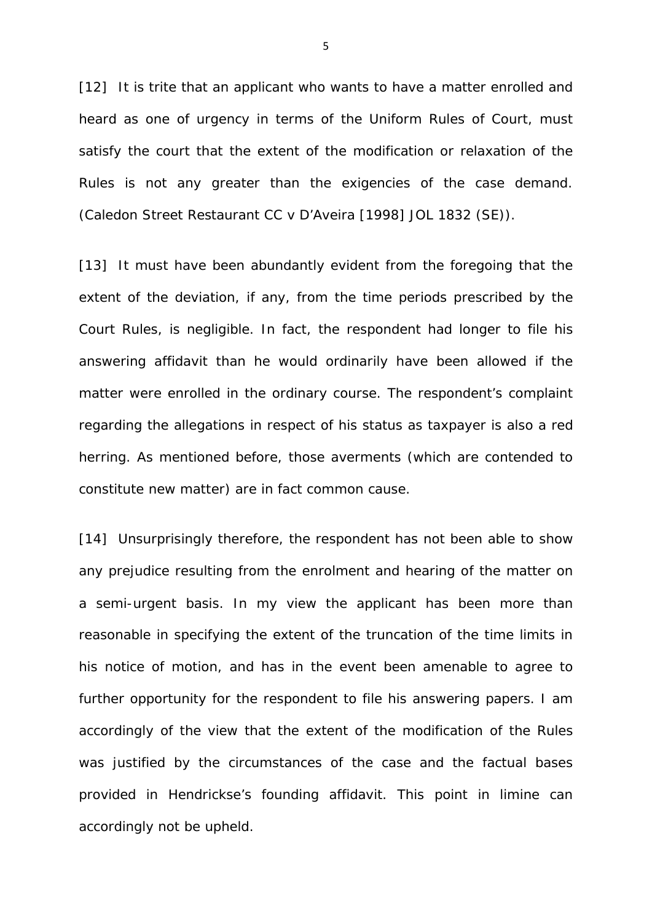[12] It is trite that an applicant who wants to have a matter enrolled and heard as one of urgency in terms of the Uniform Rules of Court, must satisfy the court that the extent of the modification or relaxation of the Rules is not any greater than the exigencies of the case demand. (*Caledon Street Restaurant CC v D'Aveira* [1998] JOL 1832 (SE)).

[13] It must have been abundantly evident from the foregoing that the extent of the deviation, if any, from the time periods prescribed by the Court Rules, is negligible. In fact, the respondent had longer to file his answering affidavit than he would ordinarily have been allowed if the matter were enrolled in the ordinary course. The respondent's complaint regarding the allegations in respect of his status as taxpayer is also a red herring. As mentioned before, those averments (which are contended to constitute new matter) are in fact common cause.

[14] Unsurprisingly therefore, the respondent has not been able to show any prejudice resulting from the enrolment and hearing of the matter on a semi-urgent basis. In my view the applicant has been more than reasonable in specifying the extent of the truncation of the time limits in his notice of motion, and has in the event been amenable to agree to further opportunity for the respondent to file his answering papers. I am accordingly of the view that the extent of the modification of the Rules was justified by the circumstances of the case and the factual bases provided in Hendrickse's founding affidavit. This point *in limine* can accordingly not be upheld.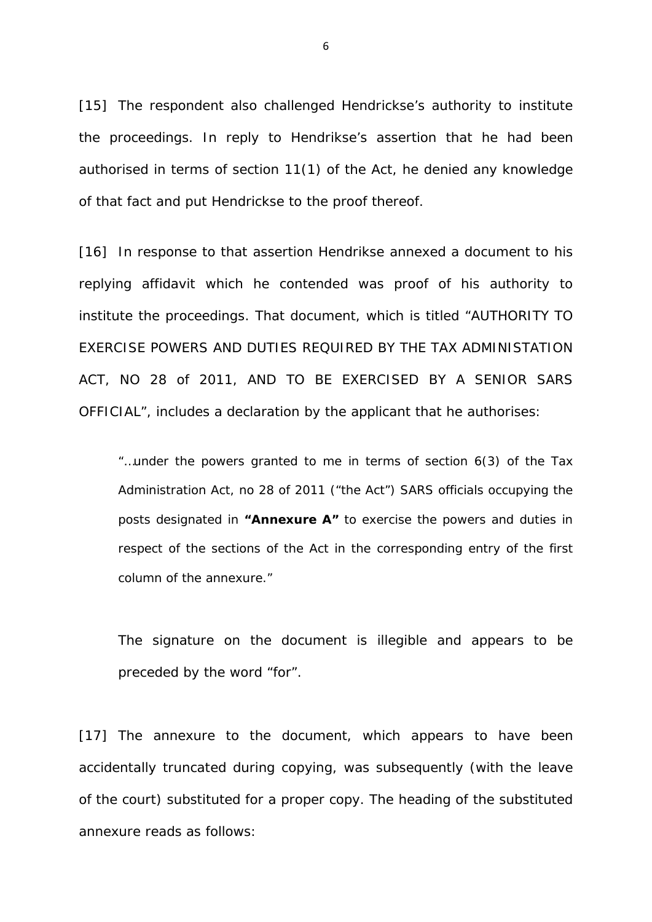[15] The respondent also challenged Hendrickse's authority to institute the proceedings. In reply to Hendrikse's assertion that he had been authorised in terms of section 11(1) of the Act, he denied any knowledge of that fact and put Hendrickse to the proof thereof.

[16] In response to that assertion Hendrikse annexed a document to his replying affidavit which he contended was proof of his authority to institute the proceedings. That document, which is titled "AUTHORITY TO EXERCISE POWERS AND DUTIES REQUIRED BY THE TAX ADMINISTATION ACT, NO 28 of 2011, AND TO BE EXERCISED BY A SENIOR SARS OFFICIAL", includes a declaration by the applicant that he authorises:

"…under the powers granted to me in terms of section 6(3) of the Tax Administration Act, no 28 of 2011 ("the Act") SARS officials occupying the posts designated in **"Annexure A"** to exercise the powers and duties in respect of the sections of the Act in the corresponding entry of the first column of the annexure."

The signature on the document is illegible and appears to be preceded by the word "*for".* 

[17] The annexure to the document, which appears to have been accidentally truncated during copying, was subsequently (with the leave of the court) substituted for a proper copy. The heading of the substituted annexure reads as follows: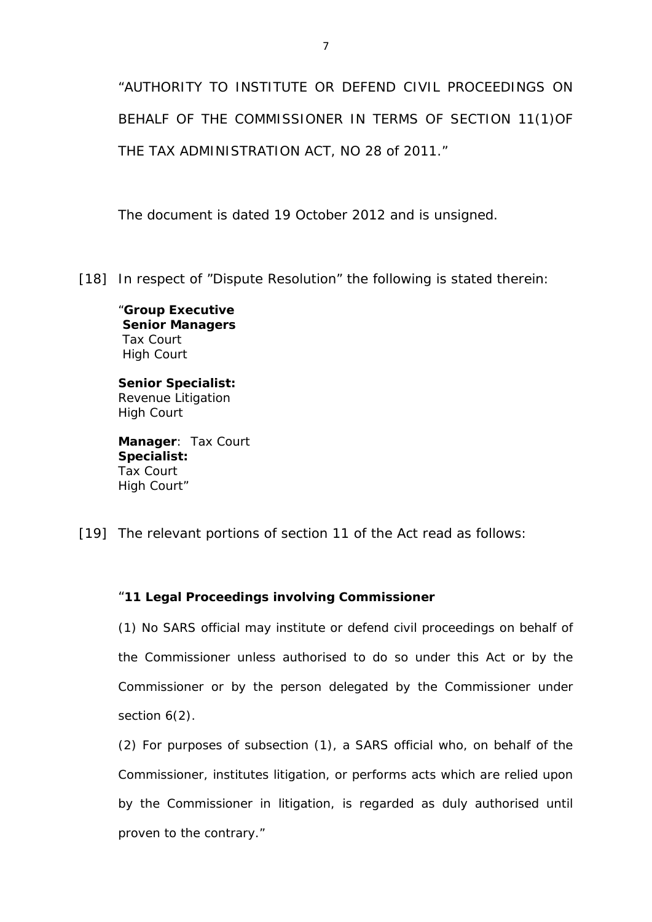"AUTHORITY TO INSTITUTE OR DEFEND CIVIL PROCEEDINGS ON BEHALF OF THE COMMISSIONER IN TERMS OF SECTION 11(1)OF THE TAX ADMINISTRATION ACT, NO 28 of 2011."

The document is dated 19 October 2012 and is unsigned.

[18] In respect of "Dispute Resolution" the following is stated therein:

"**Group Executive Senior Managers**  Tax Court High Court

**Senior Specialist:** Revenue Litigation High Court

**Manager**: Tax Court **Specialist:** Tax Court High Court"

[19] The relevant portions of section 11 of the Act read as follows:

## "**11 Legal Proceedings involving Commissioner**

(1) No SARS official may institute or defend civil proceedings on behalf of the Commissioner unless authorised to do so under this Act or by the Commissioner or by the person delegated by the Commissioner under section  $6(2)$ .

(2) For purposes of subsection (1), a SARS official who, on behalf of the Commissioner, institutes litigation, or performs acts which are relied upon by the Commissioner in litigation, is regarded as duly authorised until proven to the contrary."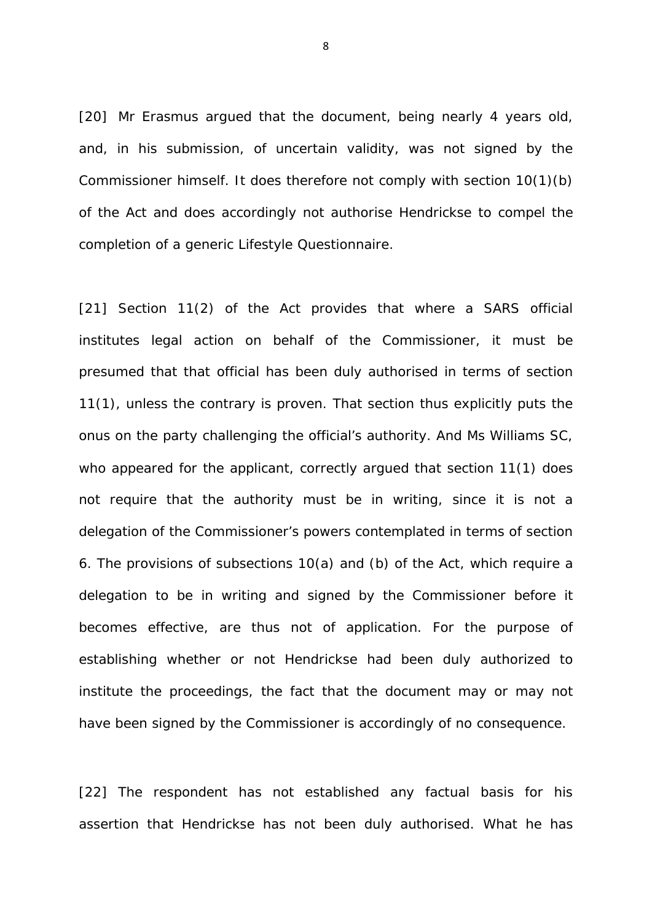[20] Mr *Erasmus* argued that the document, being nearly 4 years old, and, in his submission, of uncertain validity, was not signed by the Commissioner himself. It does therefore not comply with section 10(1)(b) of the Act and does accordingly not authorise Hendrickse to compel the completion of a generic Lifestyle Questionnaire.

[21] Section 11(2) of the Act provides that where a SARS official institutes legal action on behalf of the Commissioner, it must be presumed that that official has been duly authorised in terms of section 11(1), unless the contrary is proven. That section thus explicitly puts the onus on the party challenging the official's authority. And Ms *Williams SC*, who appeared for the applicant, correctly argued that section 11(1) does not require that the authority must be in writing, since it is not a delegation of the Commissioner's powers contemplated in terms of section 6. The provisions of subsections 10(a) and (b) of the Act, which require a delegation to be in writing and signed by the Commissioner before it becomes effective, are thus not of application. For the purpose of establishing whether or not Hendrickse had been duly authorized to institute the proceedings, the fact that the document may or may not have been signed by the Commissioner is accordingly of no consequence.

[22] The respondent has not established any factual basis for his assertion that Hendrickse has not been duly authorised. What he has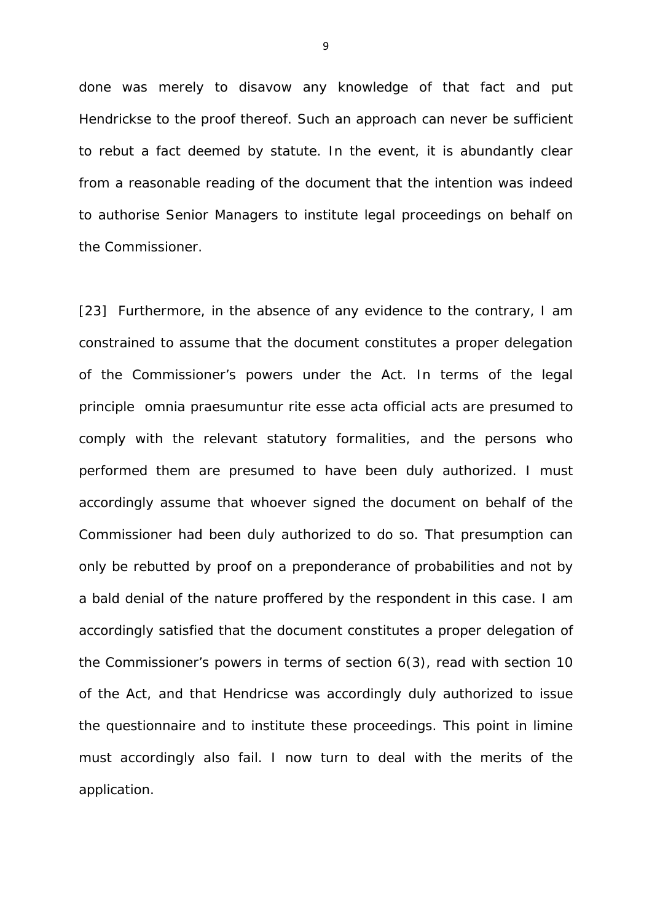done was merely to disavow any knowledge of that fact and put Hendrickse to the proof thereof. Such an approach can never be sufficient to rebut a fact deemed by statute. In the event, it is abundantly clear from a reasonable reading of the document that the intention was indeed to authorise Senior Managers to institute legal proceedings on behalf on the Commissioner.

[23] Furthermore, in the absence of any evidence to the contrary, I am constrained to assume that the document constitutes a proper delegation of the Commissioner's powers under the Act. In terms of the legal principle *omnia praesumuntur rite esse acta* official acts are presumed to comply with the relevant statutory formalities, and the persons who performed them are presumed to have been duly authorized. I must accordingly assume that whoever signed the document on behalf of the Commissioner had been duly authorized to do so. That presumption can only be rebutted by proof on a preponderance of probabilities and not by a bald denial of the nature proffered by the respondent in this case. I am accordingly satisfied that the document constitutes a proper delegation of the Commissioner's powers in terms of section 6(3), read with section 10 of the Act, and that Hendricse was accordingly duly authorized to issue the questionnaire and to institute these proceedings. This point *in limine*  must accordingly also fail. I now turn to deal with the merits of the application.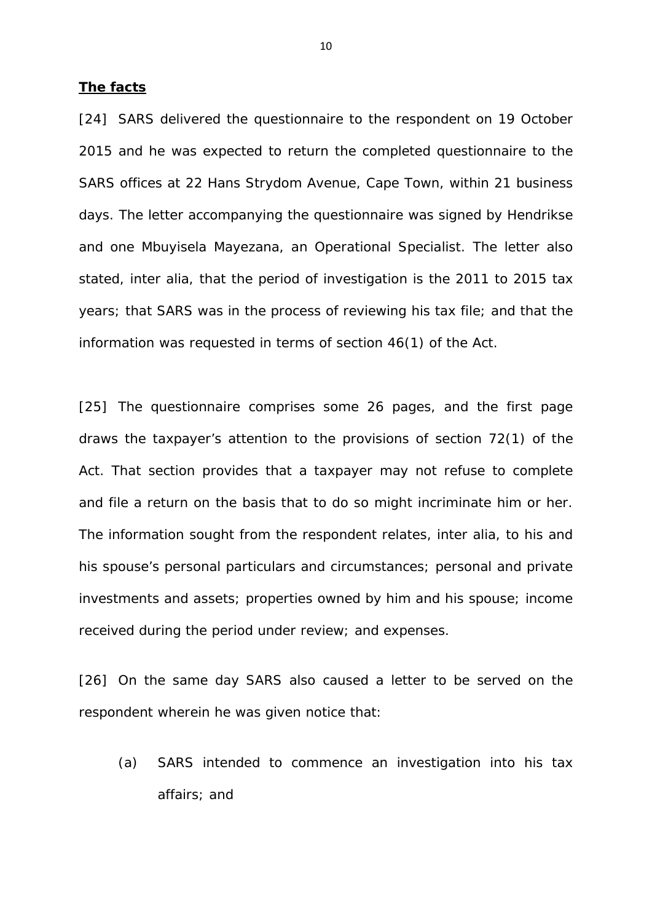#### **The facts**

[24] SARS delivered the questionnaire to the respondent on 19 October 2015 and he was expected to return the completed questionnaire to the SARS offices at 22 Hans Strydom Avenue, Cape Town, within 21 business days. The letter accompanying the questionnaire was signed by Hendrikse and one Mbuyisela Mayezana, an Operational Specialist. The letter also stated, *inter alia*, that the period of investigation is the 2011 to 2015 tax years; that SARS was in the process of reviewing his tax file; and that the information was requested in terms of section 46(1) of the Act.

[25] The questionnaire comprises some 26 pages, and the first page draws the taxpayer's attention to the provisions of section 72(1) of the Act. That section provides that a taxpayer may not refuse to complete and file a return on the basis that to do so might incriminate him or her. The information sought from the respondent relates, *inter alia*, to his and his spouse's personal particulars and circumstances; personal and private investments and assets; properties owned by him and his spouse; income received during the period under review; and expenses.

[26] On the same day SARS also caused a letter to be served on the respondent wherein he was given notice that:

(a) SARS intended to commence an investigation into his tax affairs; and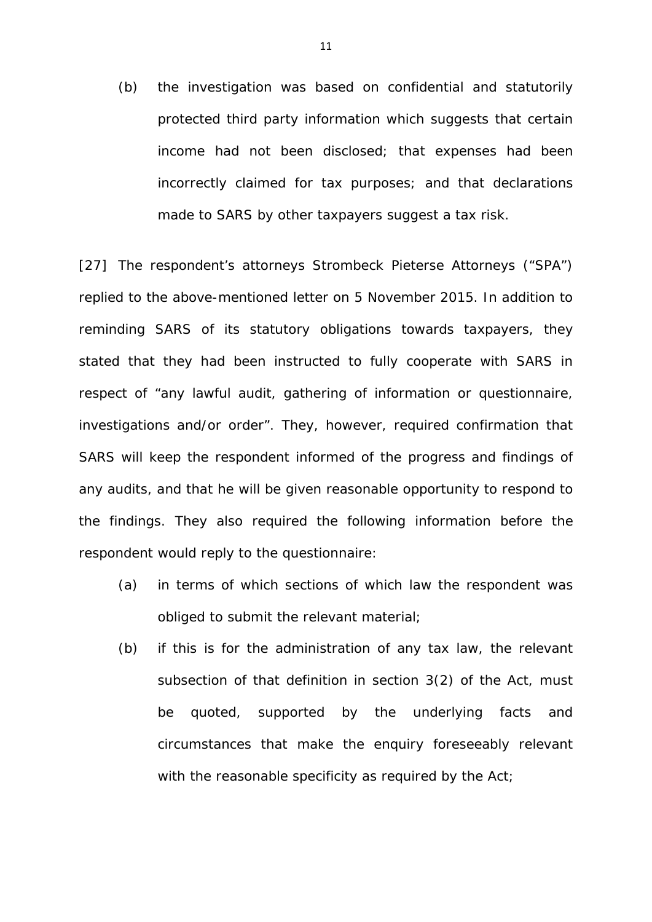(b) the investigation was based on confidential and statutorily protected third party information which suggests that certain income had not been disclosed; that expenses had been incorrectly claimed for tax purposes; and that declarations made to SARS by other taxpayers suggest a tax risk.

[27] The respondent's attorneys Strombeck Pieterse Attorneys ("SPA") replied to the above-mentioned letter on 5 November 2015. In addition to reminding SARS of its statutory obligations towards taxpayers, they stated that they had been instructed to fully cooperate with SARS in respect of *"any lawful audit, gathering of information or questionnaire, investigations and/or order".* They, however, required confirmation that SARS will keep the respondent informed of the progress and findings of any audits, and that he will be given reasonable opportunity to respond to the findings. They also required the following information before the respondent would reply to the questionnaire:

- (a) in terms of which sections of which law the respondent was obliged to submit the relevant material;
- (b) if this is for the administration of any tax law, the relevant subsection of that definition in section 3(2) of the Act, must be quoted, supported by the underlying facts and circumstances that make the enquiry foreseeably relevant with the reasonable specificity as required by the Act;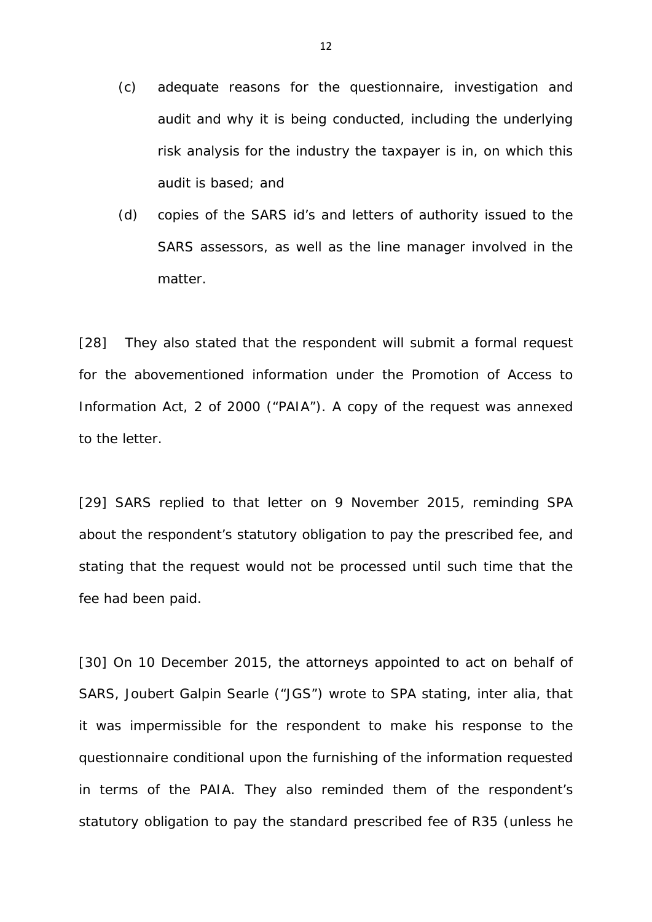- (c) adequate reasons for the questionnaire, investigation and audit and why it is being conducted, including the underlying risk analysis for the industry the taxpayer is in, on which this audit is based; and
- (d) copies of the SARS id's and letters of authority issued to the SARS assessors, as well as the line manager involved in the matter.

[28] They also stated that the respondent will submit a formal request for the abovementioned information under the Promotion of Access to Information Act, 2 of 2000 ("PAIA"). A copy of the request was annexed to the letter.

[29] SARS replied to that letter on 9 November 2015, reminding SPA about the respondent's statutory obligation to pay the prescribed fee, and stating that the request would not be processed until such time that the fee had been paid.

[30] On 10 December 2015, the attorneys appointed to act on behalf of SARS, Joubert Galpin Searle ("JGS") wrote to SPA stating, *inter alia,* that it was impermissible for the respondent to make his response to the questionnaire conditional upon the furnishing of the information requested in terms of the PAIA. They also reminded them of the respondent's statutory obligation to pay the standard prescribed fee of R35 (unless he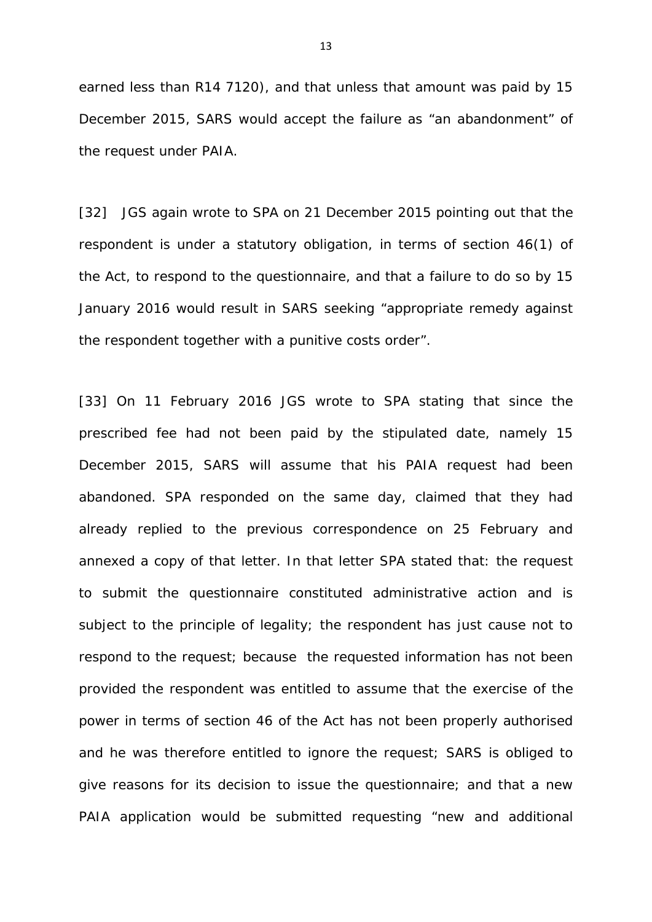earned less than R14 7120), and that unless that amount was paid by 15 December 2015, SARS would accept the failure as "*an abandonment"* of the request under PAIA.

[32] JGS again wrote to SPA on 21 December 2015 pointing out that the respondent is under a statutory obligation, in terms of section 46(1) of the Act, to respond to the questionnaire, and that a failure to do so by 15 January 2016 would result in SARS seeking "*appropriate remedy against the respondent together with a punitive costs order".* 

[33] On 11 February 2016 JGS wrote to SPA stating that since the prescribed fee had not been paid by the stipulated date, namely 15 December 2015, SARS will assume that his PAIA request had been abandoned. SPA responded on the same day, claimed that they had already replied to the previous correspondence on 25 February and annexed a copy of that letter. In that letter SPA stated that: the request to submit the questionnaire constituted administrative action and is subject to the principle of legality; the respondent has just cause not to respond to the request; because the requested information has not been provided the respondent was entitled to assume that the exercise of the power in terms of section 46 of the Act has not been properly authorised and he was therefore entitled to ignore the request; SARS is obliged to give reasons for its decision to issue the questionnaire; and that a new PAIA application would be submitted requesting "*new and additional*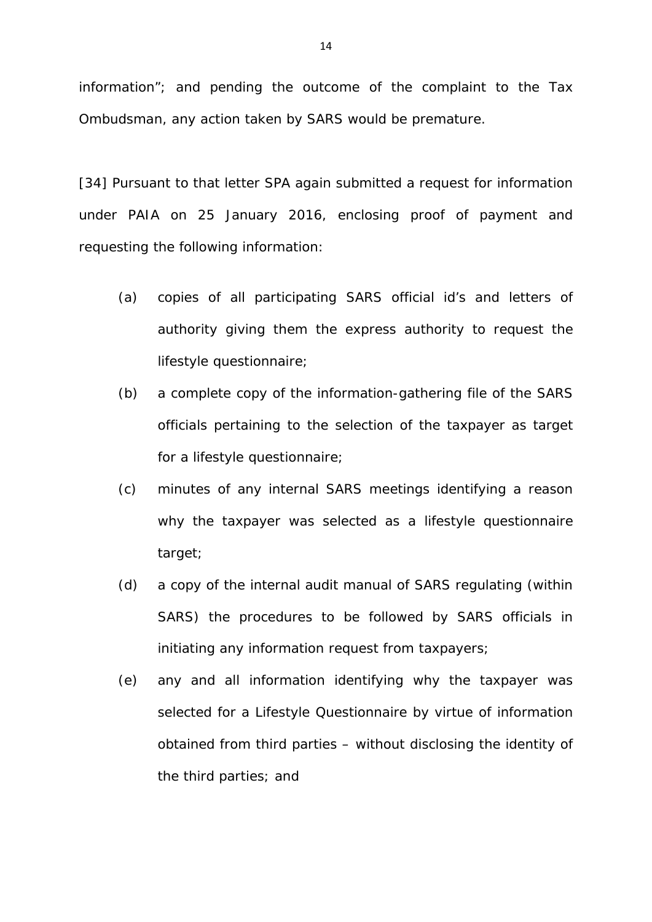*information"*; and pending the outcome of the complaint to the Tax Ombudsman, any action taken by SARS would be premature.

[34] Pursuant to that letter SPA again submitted a request for information under PAIA on 25 January 2016, enclosing proof of payment and requesting the following information:

- (a) copies of all participating SARS official id's and letters of authority giving them the express authority to request the lifestyle questionnaire;
- (b) a complete copy of the information-gathering file of the SARS officials pertaining to the selection of the taxpayer as target for a lifestyle questionnaire;
- (c) minutes of any internal SARS meetings identifying a reason why the taxpayer was selected as a lifestyle questionnaire target;
- (d) a copy of the internal audit manual of SARS regulating (within SARS) the procedures to be followed by SARS officials in initiating any information request from taxpayers;
- (e) any and all information identifying why the taxpayer was selected for a Lifestyle Questionnaire by virtue of information obtained from third parties – without disclosing the identity of the third parties; and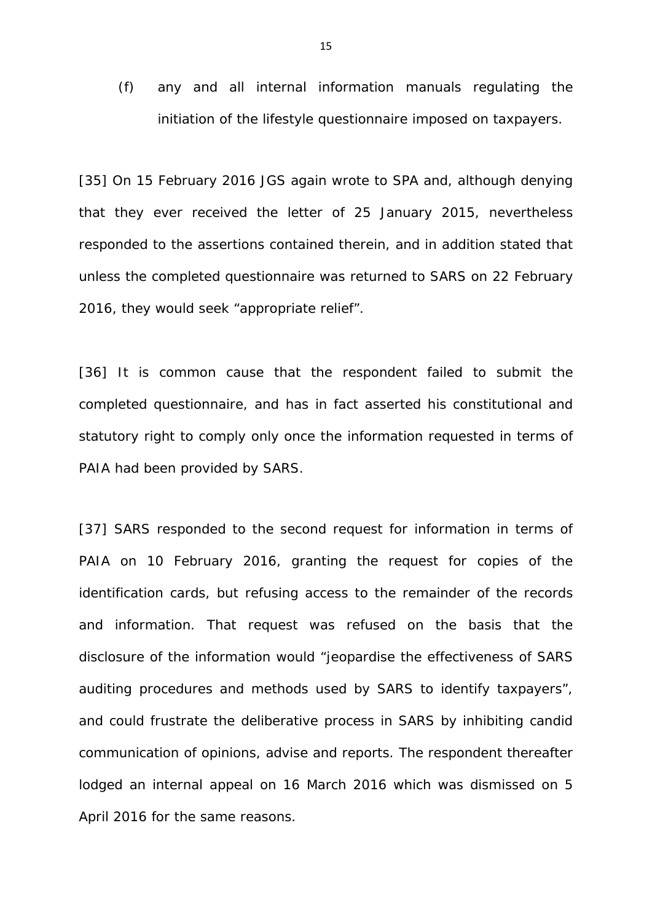(f) any and all internal information manuals regulating the initiation of the lifestyle questionnaire imposed on taxpayers.

[35] On 15 February 2016 JGS again wrote to SPA and, although denying that they ever received the letter of 25 January 2015, nevertheless responded to the assertions contained therein, and in addition stated that unless the completed questionnaire was returned to SARS on 22 February 2016, they would seek "appropriate relief".

[36] It is common cause that the respondent failed to submit the completed questionnaire, and has in fact asserted his constitutional and statutory right to comply only once the information requested in terms of PAIA had been provided by SARS.

[37] SARS responded to the second request for information in terms of PAIA on 10 February 2016, granting the request for copies of the identification cards, but refusing access to the remainder of the records and information. That request was refused on the basis that the disclosure of the information would "*jeopardise the effectiveness of SARS auditing procedures and methods used by SARS to identify taxpayers"*, and could frustrate the deliberative process in SARS by inhibiting candid communication of opinions, advise and reports. The respondent thereafter lodged an internal appeal on 16 March 2016 which was dismissed on 5 April 2016 for the same reasons.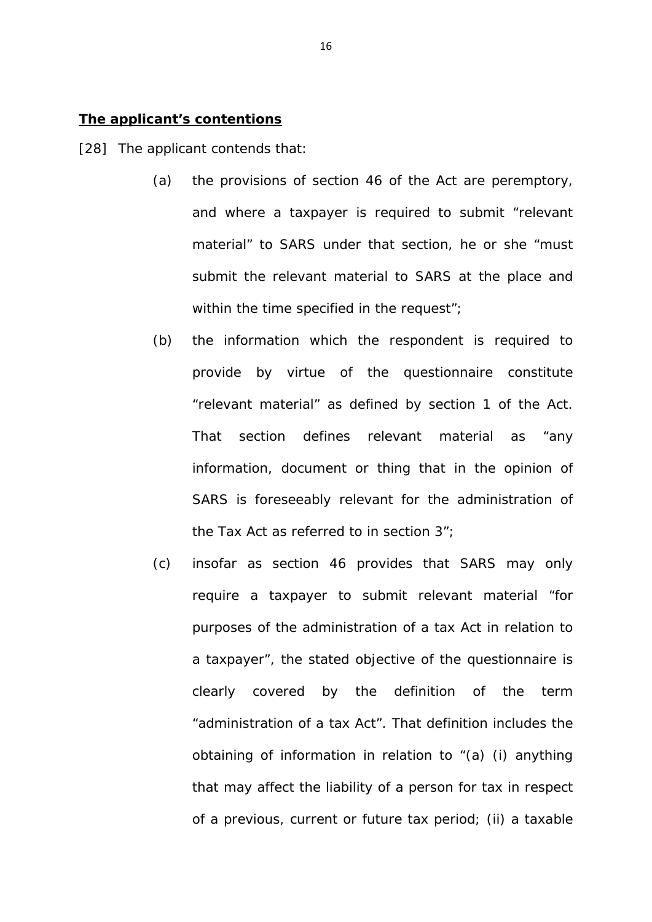### **The applicant's contentions**

[28] The applicant contends that:

- (a) the provisions of section 46 of the Act are peremptory, and where a taxpayer is required to submit "relevant material" to SARS under that section, he or she "*must submit the relevant material to SARS at the place and within the time specified in the request"*;
- (b) the information which the respondent is required to provide by virtue of the questionnaire constitute "*relevant material"* as defined by section 1 of the Act. That section defines relevant material as "*any information, document or thing that in the opinion of SARS is foreseeably relevant for the administration of the Tax Act as referred to in section 3"*;
- (c) insofar as section 46 provides that SARS may only require a taxpayer to submit relevant material "*for purposes of the administration of a tax Act in relation to a taxpayer",* the stated objective of the questionnaire is clearly covered by the definition of the term "administration of a tax Act". That definition includes the obtaining of information in relation to "(a) *(i) anything that may affect the liability of a person for tax in respect of a previous, current or future tax period; (ii) a taxable*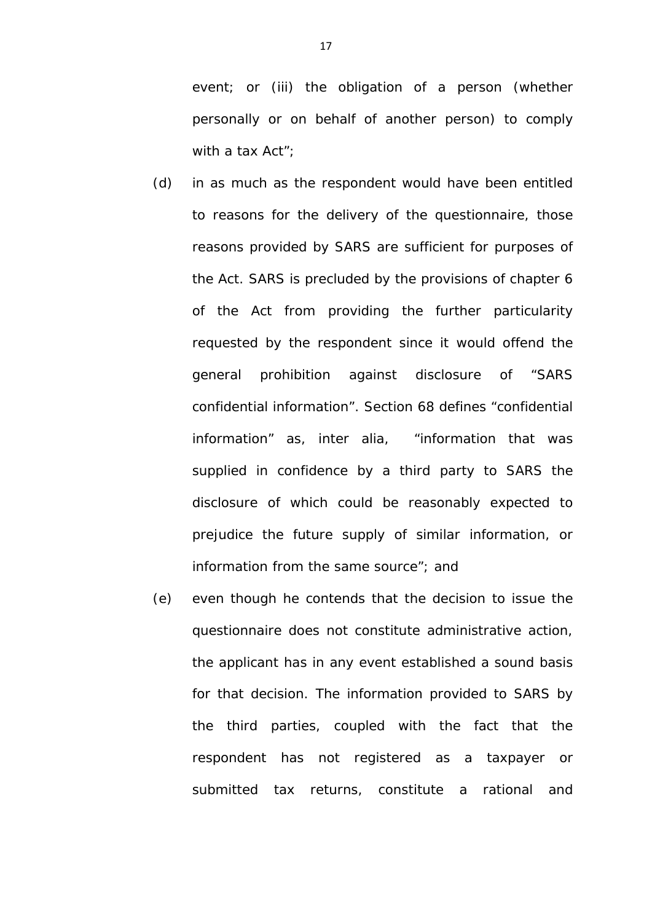*event; or (iii) the obligation of a person (whether personally or on behalf of another person) to comply with a tax Act"*;

- (d) in as much as the respondent would have been entitled to reasons for the delivery of the questionnaire, those reasons provided by SARS are sufficient for purposes of the Act. SARS is precluded by the provisions of chapter 6 of the Act from providing the further particularity requested by the respondent since it would offend the general prohibition against disclosure of "SARS confidential information". Section 68 defines "confidential information" as, *inter alia,* "information that was supplied in confidence by a third party to SARS the disclosure of which could be reasonably expected to prejudice the future supply of similar information, or information from the same source"; and
- (e) even though he contends that the decision to issue the questionnaire does not constitute administrative action, the applicant has in any event established a sound basis for that decision. The information provided to SARS by the third parties, coupled with the fact that the respondent has not registered as a taxpayer or submitted tax returns, constitute a rational and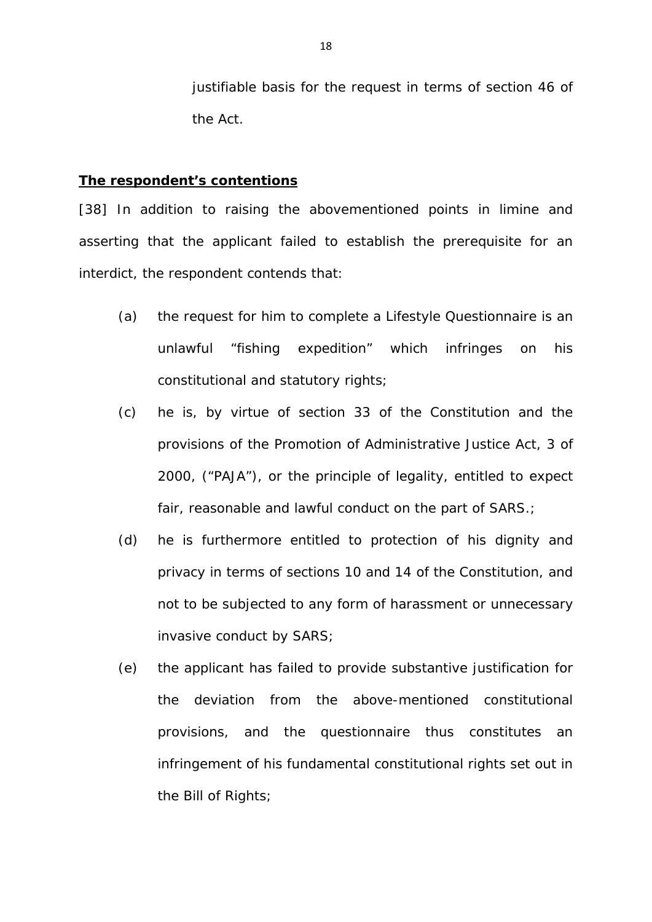justifiable basis for the request in terms of section 46 of the Act.

#### **The respondent's contentions**

[38] In addition to raising the abovementioned points in *limine* and asserting that the applicant failed to establish the prerequisite for an interdict, the respondent contends that:

- (a) the request for him to complete a Lifestyle Questionnaire is an unlawful "fishing expedition" which infringes on his constitutional and statutory rights;
- (c) he is, by virtue of section 33 of the Constitution and the provisions of the Promotion of Administrative Justice Act, 3 of 2000, ("PAJA"), or the principle of legality, entitled to expect fair, reasonable and lawful conduct on the part of SARS.;
- (d) he is furthermore entitled to protection of his dignity and privacy in terms of sections 10 and 14 of the Constitution, and not to be subjected to any form of harassment or unnecessary invasive conduct by SARS;
- (e) the applicant has failed to provide substantive justification for the deviation from the above-mentioned constitutional provisions, and the questionnaire thus constitutes an infringement of his fundamental constitutional rights set out in the Bill of Rights;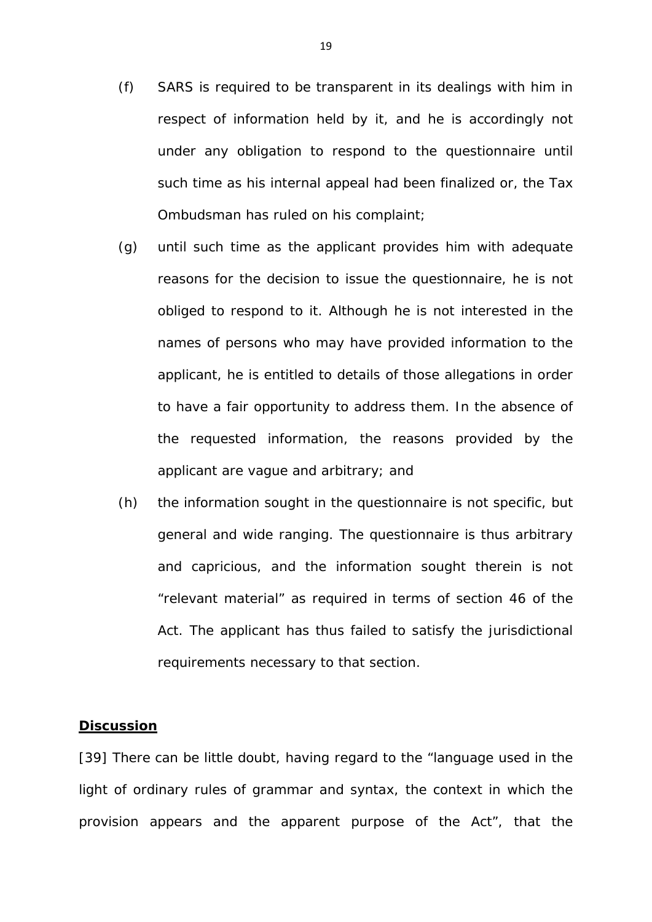- (f) SARS is required to be transparent in its dealings with him in respect of information held by it, and he is accordingly not under any obligation to respond to the questionnaire until such time as his internal appeal had been finalized or, the Tax Ombudsman has ruled on his complaint;
- (g) until such time as the applicant provides him with adequate reasons for the decision to issue the questionnaire, he is not obliged to respond to it. Although he is not interested in the names of persons who may have provided information to the applicant, he is entitled to details of those allegations in order to have a fair opportunity to address them. In the absence of the requested information, the reasons provided by the applicant are vague and arbitrary; and
- (h) the information sought in the questionnaire is not specific, but general and wide ranging. The questionnaire is thus arbitrary and capricious, and the information sought therein is not "relevant material" as required in terms of section 46 of the Act. The applicant has thus failed to satisfy the jurisdictional requirements necessary to that section.

#### **Discussion**

[39] There can be little doubt, having regard to the "language used in the light of ordinary rules of grammar and syntax, the context in which the provision appears and the apparent purpose of the Act", that the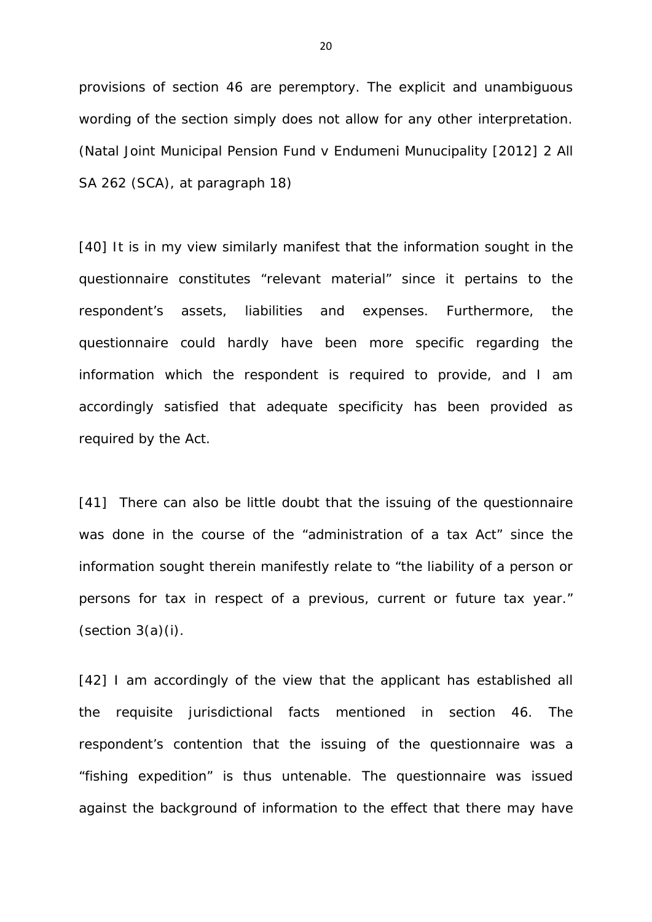provisions of section 46 are peremptory. The explicit and unambiguous wording of the section simply does not allow for any other interpretation. (*Natal Joint Municipal Pension Fund v Endumeni Munucipality* [2012] 2 All SA 262 (SCA), at paragraph 18)

[40] It is in my view similarly manifest that the information sought in the questionnaire constitutes "relevant material" since it pertains to the respondent's assets, liabilities and expenses. Furthermore, the questionnaire could hardly have been more specific regarding the information which the respondent is required to provide, and I am accordingly satisfied that adequate specificity has been provided as required by the Act.

[41] There can also be little doubt that the issuing of the questionnaire was done in the course of the "administration of a tax Act" since the information sought therein manifestly relate to "the liability of a person or persons for tax in respect of a previous, current or future tax year."  $(section 3(a)(i)).$ 

[42] I am accordingly of the view that the applicant has established all the requisite jurisdictional facts mentioned in section 46. The respondent's contention that the issuing of the questionnaire was a "fishing expedition" is thus untenable. The questionnaire was issued against the background of information to the effect that there may have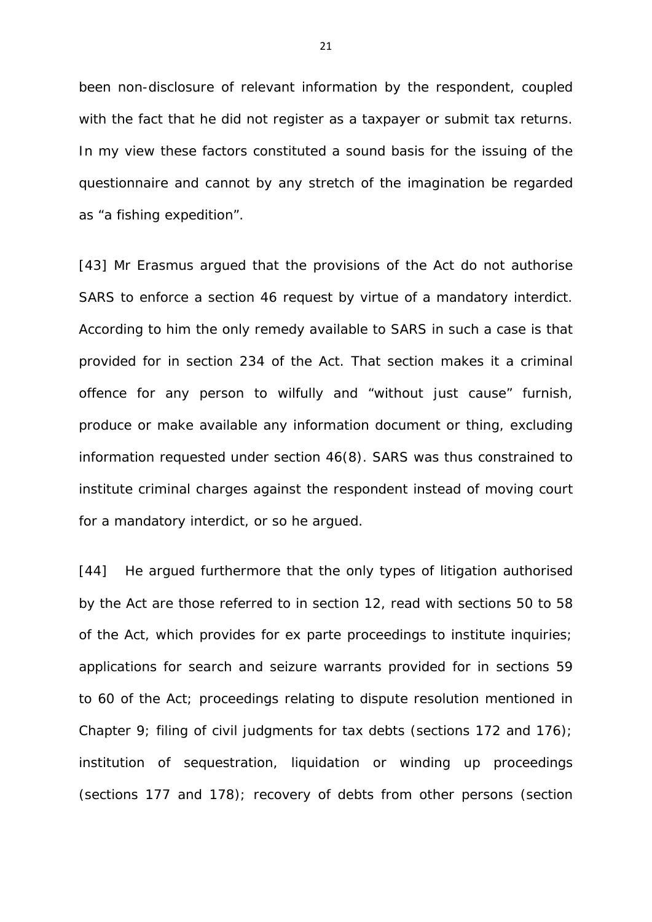been non-disclosure of relevant information by the respondent, coupled with the fact that he did not register as a taxpayer or submit tax returns. In my view these factors constituted a sound basis for the issuing of the questionnaire and cannot by any stretch of the imagination be regarded as "a fishing expedition".

[43] Mr *Erasmus* argued that the provisions of the Act do not authorise SARS to enforce a section 46 request by virtue of a mandatory interdict. According to him the only remedy available to SARS in such a case is that provided for in section 234 of the Act. That section makes it a criminal offence for any person to wilfully and "*without just cause"* furnish, produce or make available any information document or thing, excluding information requested under section 46(8). SARS was thus constrained to institute criminal charges against the respondent instead of moving court for a mandatory interdict, or so he arqued.

[44] He argued furthermore that the only types of litigation authorised by the Act are those referred to in section 12, read with sections 50 to 58 of the Act, which provides for *ex parte* proceedings to institute inquiries; applications for search and seizure warrants provided for in sections 59 to 60 of the Act; proceedings relating to dispute resolution mentioned in Chapter 9; filing of civil judgments for tax debts (sections 172 and 176); institution of sequestration, liquidation or winding up proceedings (sections 177 and 178); recovery of debts from other persons (section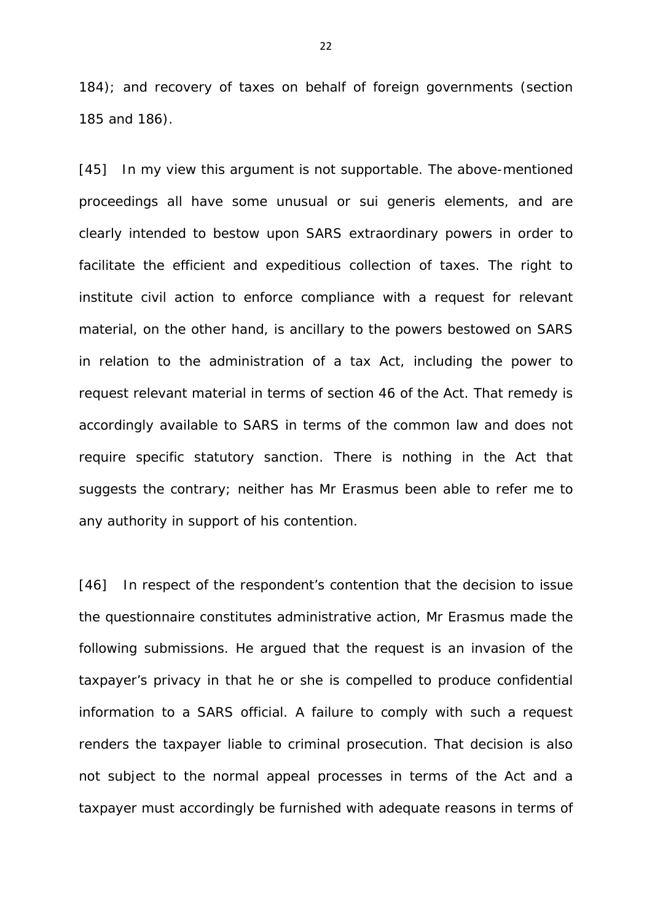184); and recovery of taxes on behalf of foreign governments (section 185 and 186).

[45] In my view this argument is not supportable. The above-mentioned proceedings all have some unusual or *sui generis* elements, and are clearly intended to bestow upon SARS extraordinary powers in order to facilitate the efficient and expeditious collection of taxes. The right to institute civil action to enforce compliance with a request for relevant material, on the other hand, is ancillary to the powers bestowed on SARS in relation to the administration of a tax Act, including the power to request relevant material in terms of section 46 of the Act. That remedy is accordingly available to SARS in terms of the common law and does not require specific statutory sanction. There is nothing in the Act that suggests the contrary; neither has Mr *Erasmus* been able to refer me to any authority in support of his contention.

[46] In respect of the respondent's contention that the decision to issue the questionnaire constitutes administrative action, Mr *Erasmus* made the following submissions. He argued that the request is an invasion of the taxpayer's privacy in that he or she is compelled to produce confidential information to a SARS official. A failure to comply with such a request renders the taxpayer liable to criminal prosecution. That decision is also not subject to the normal appeal processes in terms of the Act and a taxpayer must accordingly be furnished with adequate reasons in terms of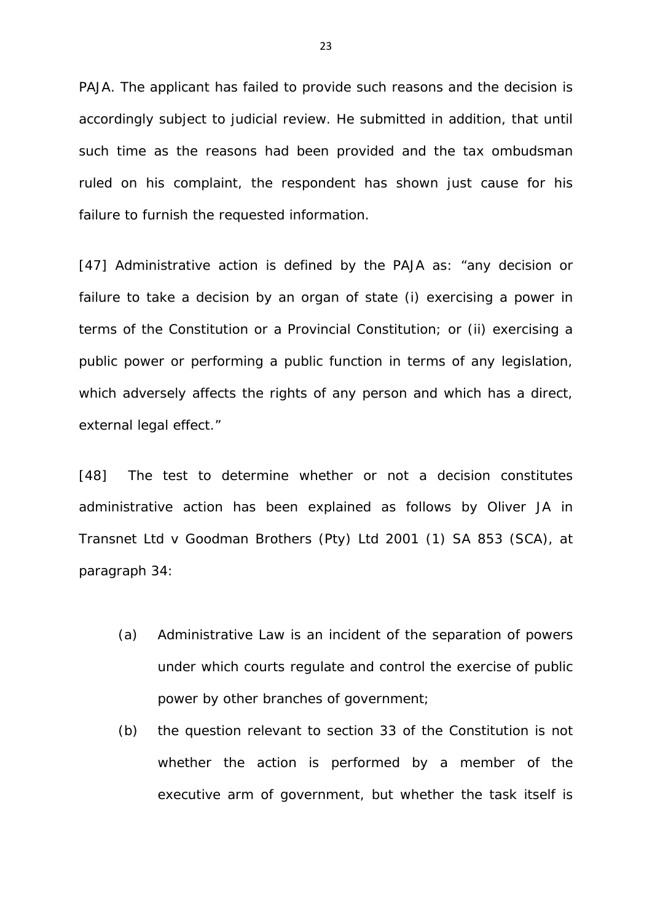PAJA. The applicant has failed to provide such reasons and the decision is accordingly subject to judicial review. He submitted in addition, that until such time as the reasons had been provided and the tax ombudsman ruled on his complaint, the respondent has shown just cause for his failure to furnish the requested information.

[47] Administrative action is defined by the PAJA as: "any decision or failure to take a decision by an organ of state (i) exercising a power in terms of the Constitution or a Provincial Constitution; or (ii) exercising a public power or performing a public function in terms of any legislation, which adversely affects the rights of any person and which has a direct, external legal effect."

[48] The test to determine whether or not a decision constitutes administrative action has been explained as follows by Oliver JA in *Transnet Ltd v Goodman Brothers (Pty) Ltd* 2001 (1) SA 853 (SCA), at paragraph 34:

- (a) Administrative Law is an incident of the separation of powers under which courts regulate and control the exercise of public power by other branches of government;
- (b) the question relevant to section 33 of the Constitution is not whether the action is performed by a member of the executive arm of government, but whether the task itself is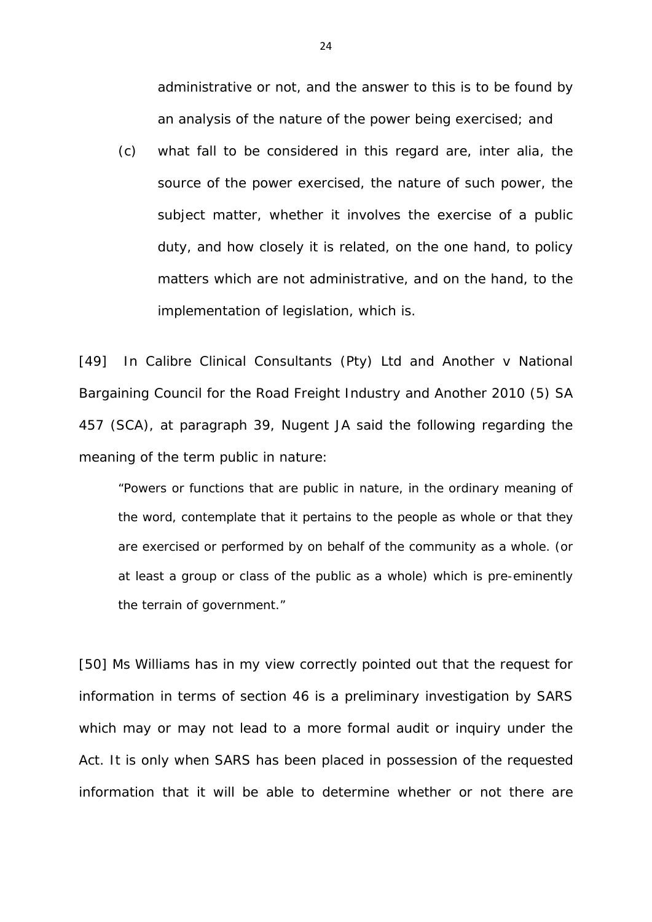administrative or not, and the answer to this is to be found by an analysis of the nature of the power being exercised; and

(c) what fall to be considered in this regard are, *inter alia,* the source of the power exercised, the nature of such power, the subject matter, whether it involves the exercise of a public duty, and how closely it is related, on the one hand, to policy matters which are not administrative, and on the hand, to the implementation of legislation, which is.

[49] In *Calibre Clinical Consultants (Pty) Ltd and Another v National Bargaining Council for the Road Freight Industry and Another 2010 (5) SA 457 (SCA)*, at paragraph 39, Nugent JA said the following regarding the meaning of the term public in nature:

"Powers or functions that are public in nature, in the ordinary meaning of the word, contemplate that it pertains to the people as whole or that they are exercised or performed by on behalf of the community as a whole. (or at least a group or class of the public as a whole) which is pre-eminently the terrain of government."

[50] Ms *Williams* has in my view correctly pointed out that the request for information in terms of section 46 is a preliminary investigation by SARS which may or may not lead to a more formal audit or inquiry under the Act. It is only when SARS has been placed in possession of the requested information that it will be able to determine whether or not there are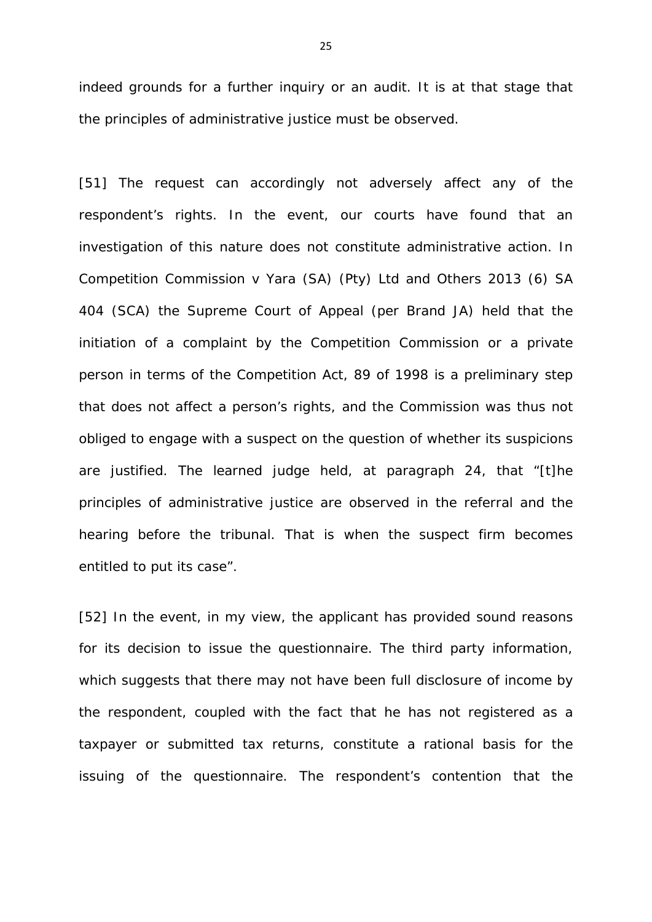indeed grounds for a further inquiry or an audit. It is at that stage that the principles of administrative justice must be observed.

[51] The request can accordingly not adversely affect any of the respondent's rights. In the event, our courts have found that an investigation of this nature does not constitute administrative action. In *Competition Commission v Yara (SA) (Pty) Ltd and Others* 2013 (6) SA 404 (SCA) the Supreme Court of Appeal (per Brand JA) held that the initiation of a complaint by the Competition Commission or a private person in terms of the Competition Act, 89 of 1998 is a preliminary step that does not affect a person's rights, and the Commission was thus not obliged to engage with a suspect on the question of whether its suspicions are justified. The learned judge held, at paragraph 24, that "*[t]he principles of administrative justice are observed in the referral and the hearing before the tribunal. That is when the suspect firm becomes entitled to put its case*".

[52] In the event, in my view, the applicant has provided sound reasons for its decision to issue the questionnaire. The third party information, which suggests that there may not have been full disclosure of income by the respondent, coupled with the fact that he has not registered as a taxpayer or submitted tax returns, constitute a rational basis for the issuing of the questionnaire. The respondent's contention that the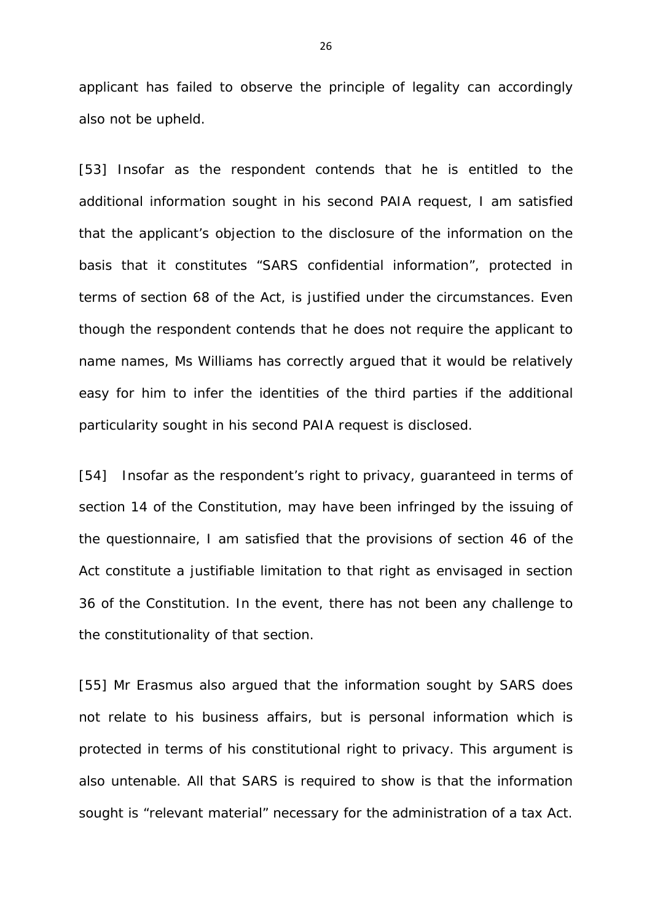applicant has failed to observe the principle of legality can accordingly also not be upheld.

[53] Insofar as the respondent contends that he is entitled to the additional information sought in his second PAIA request, I am satisfied that the applicant's objection to the disclosure of the information on the basis that it constitutes "SARS confidential information", protected in terms of section 68 of the Act, is justified under the circumstances. Even though the respondent contends that he does not require the applicant to name names, Ms *Williams* has correctly argued that it would be relatively easy for him to infer the identities of the third parties if the additional particularity sought in his second PAIA request is disclosed.

[54] Insofar as the respondent's right to privacy, guaranteed in terms of section 14 of the Constitution, may have been infringed by the issuing of the questionnaire, I am satisfied that the provisions of section 46 of the Act constitute a justifiable limitation to that right as envisaged in section 36 of the Constitution. In the event, there has not been any challenge to the constitutionality of that section.

[55] Mr *Erasmus* also argued that the information sought by SARS does not relate to his business affairs, but is personal information which is protected in terms of his constitutional right to privacy. This argument is also untenable. All that SARS is required to show is that the information sought is "relevant material" necessary for the administration of a tax Act.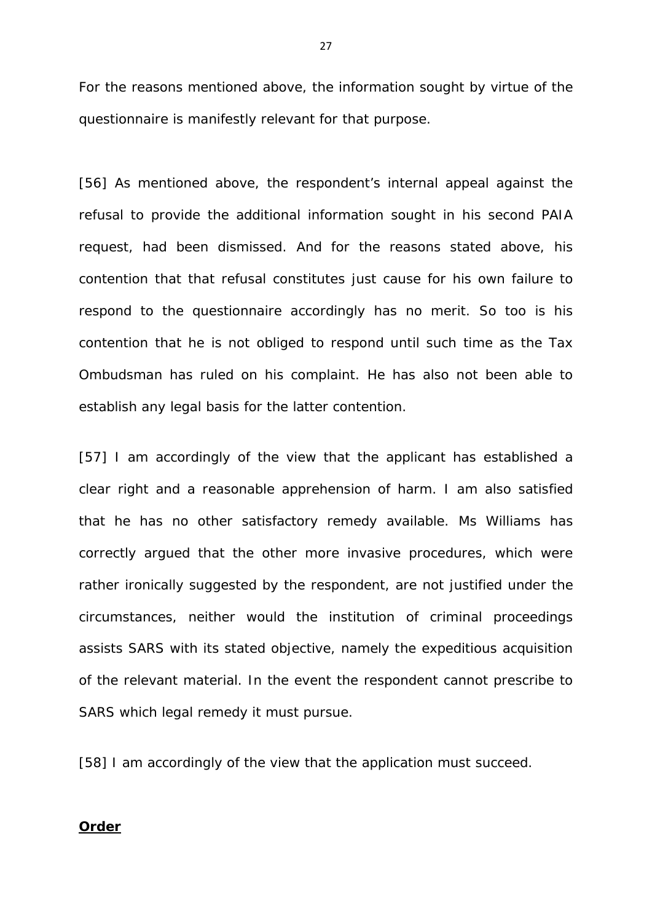For the reasons mentioned above, the information sought by virtue of the questionnaire is manifestly relevant for that purpose.

[56] As mentioned above, the respondent's internal appeal against the refusal to provide the additional information sought in his second PAIA request, had been dismissed. And for the reasons stated above, his contention that that refusal constitutes just cause for his own failure to respond to the questionnaire accordingly has no merit. So too is his contention that he is not obliged to respond until such time as the Tax Ombudsman has ruled on his complaint. He has also not been able to establish any legal basis for the latter contention.

[57] I am accordingly of the view that the applicant has established a clear right and a reasonable apprehension of harm. I am also satisfied that he has no other satisfactory remedy available. Ms *Williams* has correctly argued that the other more invasive procedures, which were rather ironically suggested by the respondent, are not justified under the circumstances, neither would the institution of criminal proceedings assists SARS with its stated objective, namely the expeditious acquisition of the relevant material. In the event the respondent cannot prescribe to SARS which legal remedy it must pursue.

[58] I am accordingly of the view that the application must succeed.

#### **Order**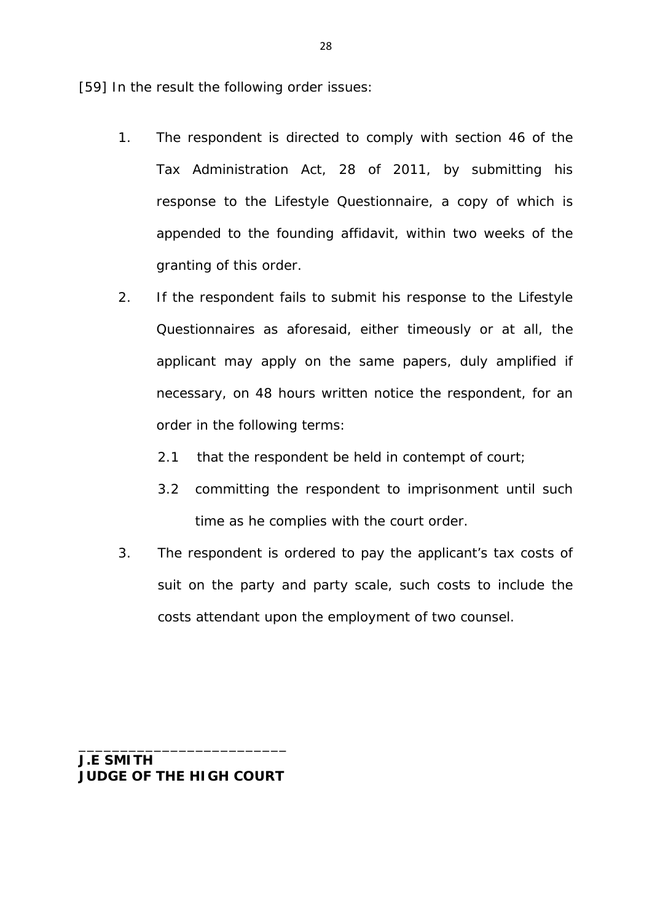[59] In the result the following order issues:

- 1. The respondent is directed to comply with section 46 of the Tax Administration Act, 28 of 2011, by submitting his response to the Lifestyle Questionnaire, a copy of which is appended to the founding affidavit, within two weeks of the granting of this order.
- 2. If the respondent fails to submit his response to the Lifestyle Questionnaires as aforesaid, either timeously or at all, the applicant may apply on the same papers, duly amplified if necessary, on 48 hours written notice the respondent, for an order in the following terms:
	- 2.1 that the respondent be held in contempt of court;
	- 3.2 committing the respondent to imprisonment until such time as he complies with the court order.
- 3. The respondent is ordered to pay the applicant's tax costs of suit on the party and party scale, such costs to include the costs attendant upon the employment of two counsel.

**J.E SMITH JUDGE OF THE HIGH COURT**

\_\_\_\_\_\_\_\_\_\_\_\_\_\_\_\_\_\_\_\_\_\_\_\_\_